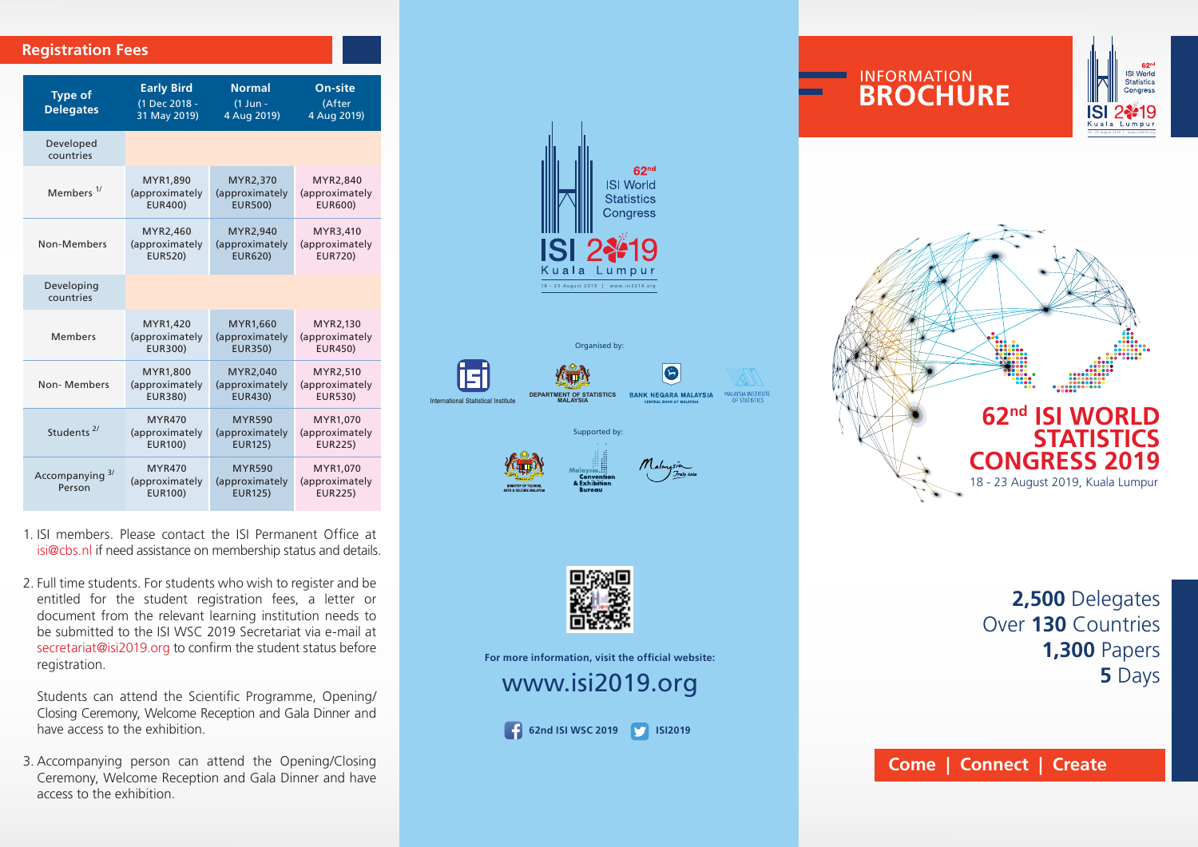## **Registration Fees**

| <b>Type of</b><br><b>Delegates</b> | <b>Early Bird</b><br>(1 Dec 2018 -<br>31 May 2019) | <b>Normal</b><br>$(1$ Jun -<br>4 Aug 2019)        | On-site<br>(After<br>4 Aug 2019)             |  |
|------------------------------------|----------------------------------------------------|---------------------------------------------------|----------------------------------------------|--|
| Developed<br>countries             |                                                    |                                                   |                                              |  |
| Members <sup>1/</sup>              | MYR1,890                                           | MYR2,370                                          | MYR2,840                                     |  |
|                                    | (approximately                                     | (approximately                                    | (approximately                               |  |
|                                    | <b>EUR400)</b>                                     | <b>EUR500)</b>                                    | <b>EUR600)</b>                               |  |
| Non-Members                        | MYR2,460                                           | MYR2,940                                          | MYR3,410                                     |  |
|                                    | (approximately                                     | (approximately                                    | (approximately                               |  |
|                                    | <b>EUR520)</b>                                     | <b>EUR620)</b>                                    | <b>EUR720)</b>                               |  |
| Developing<br>countries            |                                                    |                                                   |                                              |  |
| <b>Members</b>                     | MYR1,420                                           | MYR1,660                                          | MYR2,130                                     |  |
|                                    | (approximately                                     | (approximately                                    | (approximately                               |  |
|                                    | <b>EUR300)</b>                                     | <b>EUR350)</b>                                    | <b>EUR450)</b>                               |  |
| Non-Members                        | <b>MYR1.800</b>                                    | MYR2,040                                          | MYR2,510                                     |  |
|                                    | (approximately                                     | (approximately                                    | (approximately                               |  |
|                                    | <b>EUR380)</b>                                     | <b>EUR430)</b>                                    | <b>EUR530)</b>                               |  |
| Students <sup>2/</sup>             | <b>MYR470</b>                                      | <b>MYR590</b>                                     | MYR1.070                                     |  |
|                                    | (approximately                                     | (approximately                                    | (approximately                               |  |
|                                    | <b>EUR100)</b>                                     | <b>EUR125)</b>                                    | <b>EUR225)</b>                               |  |
| Accompanying 3/<br>Person          | <b>MYR470</b><br>(approximately<br><b>EUR100)</b>  | <b>MYR590</b><br>(approximately<br><b>EUR125)</b> | MYR1,070<br>(approximately<br><b>EUR225)</b> |  |

- 1. ISI members. Please contact the ISI Permanent Office at isi@cbs.nl if need assistance on membership status and details.
- 2. Full time students. For students who wish to register and be entitled for the student registration fees, a letter or document from the relevant learning institution needs to be submitted to the ISI WSC 2019 Secretariat via e-mail at secretariat@isi2019.org to confirm the student status before registration.

Students can attend the Scientific Programme, Opening/ Closing Ceremony, Welcome Reception and Gala Dinner and have access to the exhibition.

3. Accompanying person can attend the Opening/Closing Ceremony, Welcome Reception and Gala Dinner and have access to the exhibition.









INFORMATION **BROCHURE**

For more information, visit the official website:

www.isi2019.org

**62nd ISI WSC 2019 ISI2019**

**2,500** Delegates Over **130** Countries **1,300** Papers **5** Days

**ISI World** Congress

ISI

**Come | Connect | Create**